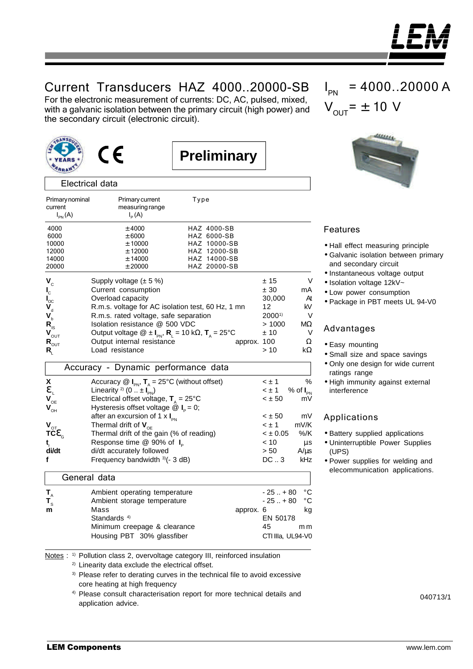

## Current Transducers HAZ 4000..20000-SB

For the electronic measurement of currents: DC, AC, pulsed, mixed, with a galvanic isolation between the primary circuit (high power) and the secondary circuit (electronic circuit).



Electrical data

current measuring range



Primary nominal Primary current Type

 $I_{p}(A)$ 

**Preliminary**

| $V_{\text{OUT}} = \pm 10 \text{ V}$ |  |
|-------------------------------------|--|
|                                     |  |

 $= 4000, 20000 A$ 

## Features

I PN

- Hall effect measuring principle
- Galvanic isolation between primary and secondary circuit
- Instantaneous voltage output
- Isolation voltage 12kV~
- Low power consumption
- Package in PBT meets UL 94-V0

## Advantages

- Easy mounting
- Small size and space savings
- Only one design for wide current ratings range
- High immunity against external interference

## Applications

- Battery supplied applications
- Uninterruptible Power Supplies (UPS)
- Power supplies for welding and elecommunication applications.

| $I_{PN}(A)$                                 | $I_p(A)$                                                                                               |                              |              |                      |
|---------------------------------------------|--------------------------------------------------------------------------------------------------------|------------------------------|--------------|----------------------|
| 4000                                        | $±$ 4000                                                                                               | HAZ 4000-SB                  |              |                      |
| 6000                                        | ± 6000                                                                                                 | HAZ 6000-SB                  |              |                      |
| 10000                                       | ± 10000                                                                                                | HAZ 10000-SB                 |              |                      |
| 12000<br>14000                              | ± 12000<br>± 14000                                                                                     | HAZ 12000-SB<br>HAZ 14000-SB |              |                      |
| 20000                                       | ± 20000                                                                                                | HAZ 20000-SB                 |              |                      |
|                                             |                                                                                                        |                              |              |                      |
| $\mathbf{V}_{\rm c}$                        | Supply voltage $(\pm 5\%)$                                                                             |                              | ± 15         | V                    |
| $\mathbf{l}_{\rm c}$                        | Current consumption                                                                                    |                              | ± 30         | mA                   |
| $\mathbf{l}_{\rm oc}$                       | Overload capacity                                                                                      |                              | 30,000       | At                   |
| $\mathbf{V}_{d}$                            | R.m.s. voltage for AC isolation test, 60 Hz, 1 mn                                                      |                              | 12           | kV                   |
| $\mathbf{V}_{\mathbf{b}}^{\mathbf{v}}$      | R.m.s. rated voltage, safe separation                                                                  |                              | $2000^{1}$   | V                    |
| $\mathsf{R}_{\mathsf{IS}}$                  | Isolation resistance @ 500 VDC                                                                         |                              | >1000        | ΜΩ                   |
| $\mathbf{V}_{\text{OUT}}$                   | Output voltage $\circledR \pm I_{\text{PN}}$ , $R_1 = 10 \text{ k}\Omega$ , $T_4 = 25^{\circ}\text{C}$ |                              | ±10          | V                    |
| $\mathsf{R}_{\mathsf{OUT}}$                 | Output internal resistance                                                                             | approx. 100                  |              | Ω                    |
| $\mathsf{R}_{\scriptscriptstyle\mathsf{L}}$ | Load resistance                                                                                        |                              | >10          | kΩ                   |
|                                             | Accuracy - Dynamic performance data                                                                    |                              |              |                      |
| X                                           | Accuracy $\circledR$ $I_{PN}$ , $T_A = 25^{\circ}C$ (without offset)                                   |                              | $\leq \pm 1$ | $\%$                 |
| $\mathbf{e}_{\shortparallel}$               | Linearity <sup>2)</sup> (0 $\pm I_{PN}$ )                                                              |                              | $\leq \pm 1$ | % of $I_{\text{PN}}$ |
| $\mathbf{V}_{\mathrm{OE}}$                  | Electrical offset voltage, $T_{A} = 25^{\circ}C$                                                       |                              | $< \pm 50$   | mV                   |
| $\mathbf{V}_{\text{OH}}$                    | Hysteresis offset voltage $\textcircled{a}$ I <sub>P</sub> = 0;                                        |                              |              |                      |
|                                             | after an excursion of 1 x $I_{\text{pN}}$                                                              |                              | $< \pm 50$   | mV                   |
| $\bm{V}_{\text{QT}}$                        | Thermal drift of $V_{\text{OE}}$                                                                       |                              | $\leq \pm 1$ | mV/K                 |
| TCe                                         | Thermal drift of the gain (% of reading)                                                               |                              | $< \pm 0.05$ | %/K                  |
| t,                                          | Response time $@$ 90% of $I_{\circ}$                                                                   |                              | < 10         | μs                   |
| di/dt                                       | di/dt accurately followed                                                                              |                              | > 50         | $A/\mu s$            |
| f                                           | Frequency bandwidth 3)(- 3 dB)                                                                         |                              | $DC1$ . 3    | kHz                  |
|                                             | General data                                                                                           |                              |              |                      |
| $\mathbf{T}_{\mathbf{A}}$                   | Ambient operating temperature                                                                          |                              | $-25+80$     | $^{\circ}$ C         |
| $\mathbf{T}_{\mathrm{s}}$                   | Ambient storage temperature                                                                            |                              | $-25+80$     | °C                   |
| m                                           | Mass                                                                                                   | approx. 6                    |              | kg                   |
|                                             | Standards <sup>4)</sup>                                                                                |                              | EN 50178     |                      |
|                                             |                                                                                                        |                              | 45           |                      |
|                                             | Minimum creepage & clearance                                                                           |                              |              | mm                   |

Notes : <sup>1)</sup> Pollution class 2, overvoltage category III, reinforced insulation

2) Linearity data exclude the electrical offset.

<sup>3)</sup> Please refer to derating curves in the technical file to avoid excessive core heating at high frequency

Housing PBT 30% glassfiber CTI IIIa, UL94-V0

4) Please consult characterisation report for more technical details and application advice.

040713/1